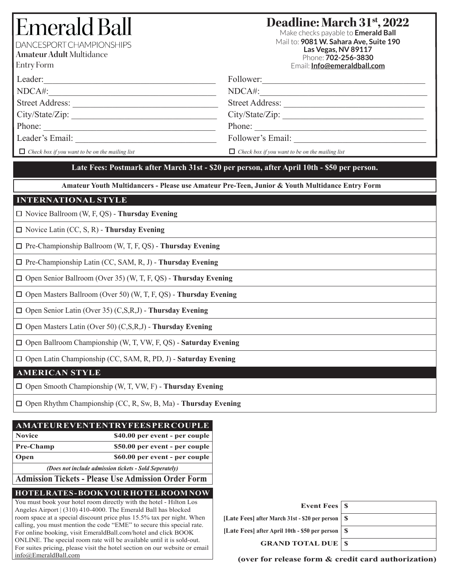# Emerald Ba DANCESPORT CHAMPIONSHIPS

**Amateur Adult** Multidance

Entry Form

## **Deadline: March 31st, 2022**

Make checks payable to **Emerald Ball** Mail to: **9081 W. Sahara Ave, Suite 190 Las Vegas, NV 89117** Phone: **702-256-3830** Email: **Info@emeraldball.com**

| Leader:                                                | Follower:                                              |
|--------------------------------------------------------|--------------------------------------------------------|
| NDCA#:                                                 | NDCA#:                                                 |
| <b>Street Address:</b>                                 | <b>Street Address:</b>                                 |
| City/State/Zip:                                        | City/State/Zip:                                        |
| Phone:                                                 | Phone:                                                 |
| Leader's Email:                                        | Follower's Email:                                      |
| $\Box$ Check box if you want to be on the mailing list | $\Box$ Check box if you want to be on the mailing list |

## **Late Fees: Postmark after March 31st - \$20 per person, after April 10th - \$50 per person.**

**Amateur Youth Multidancers - Please use Amateur Pre-Teen, Junior & Youth Multidance Entry Form**

## **INTERNATIONAL STYLE**

Novice Ballroom (W, F, QS) - **Thursday Evening**

Novice Latin (CC, S, R) - **Thursday Evening**

□ Pre-Championship Ballroom (W, T, F, QS) - **Thursday Evening** 

Pre-Championship Latin (CC, SAM, R, J) - **Thursday Evening**

Open Senior Ballroom (Over 35) (W, T, F, QS) - **Thursday Evening**

Open Masters Ballroom (Over 50) (W, T, F, QS) - **Thursday Evening**

Open Senior Latin (Over 35) (C,S,R,J) - **Thursday Evening**

Open Masters Latin (Over 50) (C,S,R,J) - **Thursday Evening**

Open Ballroom Championship (W, T, VW, F, QS) - **Saturday Evening**

Open Latin Championship (CC, SAM, R, PD, J) - **Saturday Evening**

## **AMERICAN STYLE**

Open Smooth Championship (W, T, VW, F) - **Thursday Evening**

Open Rhythm Championship (CC, R, Sw, B, Ma) - **Thursday Evening**

## **AMATEUR EVENT ENTRY FEES PER COUPLE**

| Novice    | \$40.00 per event - per couple |
|-----------|--------------------------------|
| Pre-Champ | \$50.00 per event - per couple |
| Open      | \$60.00 per event - per couple |

*(Does not include admission tickets - Sold Seperately)*

**Admission Tickets - Please Use Admission Order Form**

## **HOTEL RATES - BOOK YOUR HOTEL ROOM NOW**

You must book your hotel room directly with the hotel - Hilton Los Angeles Airport | (310) 410-4000. The Emerald Ball has blocked room space at a special discount price plus 15.5% tax per night. When calling, you must mention the code "EME" to secure this special rate. For online booking, visit EmeraldBall.com/hotel and click BOOK ONLINE. The special room rate will be available until it is sold-out. For suites pricing, please visit the hotel section on our website or email info@EmeraldBall.com

| Event Fees $\vert$ \$                               |  |
|-----------------------------------------------------|--|
| [Late Fees] after March 31st - \$20 per person   \$ |  |
| [Late Fees] after April 10th - \$50 per person   \$ |  |
| <b>GRAND TOTAL DUE   \$</b>                         |  |
|                                                     |  |

**(over for release form & credit card authorization)**